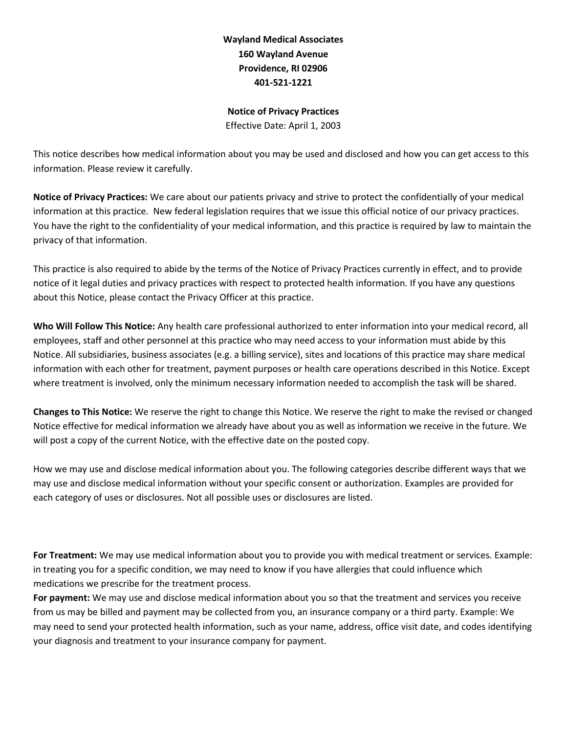# **Wayland Medical Associates 160 Wayland Avenue Providence, RI 02906 401-521-1221**

#### **Notice of Privacy Practices**  Effective Date: April 1, 2003

This notice describes how medical information about you may be used and disclosed and how you can get access to this information. Please review it carefully.

**Notice of Privacy Practices:** We care about our patients privacy and strive to protect the confidentially of your medical information at this practice. New federal legislation requires that we issue this official notice of our privacy practices. You have the right to the confidentiality of your medical information, and this practice is required by law to maintain the privacy of that information.

This practice is also required to abide by the terms of the Notice of Privacy Practices currently in effect, and to provide notice of it legal duties and privacy practices with respect to protected health information. If you have any questions about this Notice, please contact the Privacy Officer at this practice.

**Who Will Follow This Notice:** Any health care professional authorized to enter information into your medical record, all employees, staff and other personnel at this practice who may need access to your information must abide by this Notice. All subsidiaries, business associates (e.g. a billing service), sites and locations of this practice may share medical information with each other for treatment, payment purposes or health care operations described in this Notice. Except where treatment is involved, only the minimum necessary information needed to accomplish the task will be shared.

**Changes to This Notice:** We reserve the right to change this Notice. We reserve the right to make the revised or changed Notice effective for medical information we already have about you as well as information we receive in the future. We will post a copy of the current Notice, with the effective date on the posted copy.

How we may use and disclose medical information about you. The following categories describe different ways that we may use and disclose medical information without your specific consent or authorization. Examples are provided for each category of uses or disclosures. Not all possible uses or disclosures are listed.

**For Treatment:** We may use medical information about you to provide you with medical treatment or services. Example: in treating you for a specific condition, we may need to know if you have allergies that could influence which medications we prescribe for the treatment process.

**For payment:** We may use and disclose medical information about you so that the treatment and services you receive from us may be billed and payment may be collected from you, an insurance company or a third party. Example: We may need to send your protected health information, such as your name, address, office visit date, and codes identifying your diagnosis and treatment to your insurance company for payment.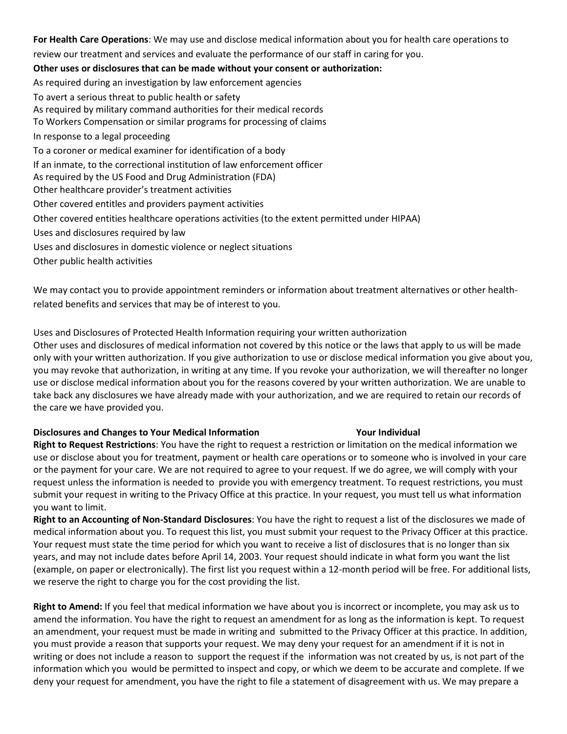**For Health Care Operations**: We may use and disclose medical information about you for health care operations to review our treatment and services and evaluate the performance of our staff in caring for you. **Other uses or disclosures that can be made without your consent or authorization:** As required during an investigation by law enforcement agencies To avert a serious threat to public health or safety As required by military command authorities for their medical records

To Workers Compensation or similar programs for processing of claims

In response to a legal proceeding

To a coroner or medical examiner for identification of a body

If an inmate, to the correctional institution of law enforcement officer

As required by the US Food and Drug Administration (FDA)

Other healthcare provider's treatment activities

Other covered entitles and providers payment activities

Other covered entities healthcare operations activities (to the extent permitted under HIPAA)

Uses and disclosures required by law

Uses and disclosures in domestic violence or neglect situations

Other public health activities

We may contact you to provide appointment reminders or information about treatment alternatives or other healthrelated benefits and services that may be of interest to you.

## Uses and Disclosures of Protected Health Information requiring your written authorization

Other uses and disclosures of medical information not covered by this notice or the laws that apply to us will be made only with your written authorization. If you give authorization to use or disclose medical information you give about you, you may revoke that authorization, in writing at any time. If you revoke your authorization, we will thereafter no longer use or disclose medical information about you for the reasons covered by your written authorization. We are unable to take back any disclosures we have already made with your authorization, and we are required to retain our records of the care we have provided you.

### **Disclosures and Changes to Your Medical Information Your Individual**

**Right to Request Restrictions**: You have the right to request a restriction or limitation on the medical information we use or disclose about you for treatment, payment or health care operations or to someone who is involved in your care or the payment for your care. We are not required to agree to your request. If we do agree, we will comply with your request unless the information is needed to provide you with emergency treatment. To request restrictions, you must submit your request in writing to the Privacy Office at this practice. In your request, you must tell us what information you want to limit.

**Right to an Accounting of Non-Standard Disclosures**: You have the right to request a list of the disclosures we made of medical information about you. To request this list, you must submit your request to the Privacy Officer at this practice. Your request must state the time period for which you want to receive a list of disclosures that is no longer than six years, and may not include dates before April 14, 2003. Your request should indicate in what form you want the list (example, on paper or electronically). The first list you request within a 12-month period will be free. For additional lists, we reserve the right to charge you for the cost providing the list.

**Right to Amend:** If you feel that medical information we have about you is incorrect or incomplete, you may ask us to amend the information. You have the right to request an amendment for as long as the information is kept. To request an amendment, your request must be made in writing and submitted to the Privacy Officer at this practice. In addition, you must provide a reason that supports your request. We may deny your request for an amendment if it is not in writing or does not include a reason to support the request if the information was not created by us, is not part of the information which you would be permitted to inspect and copy, or which we deem to be accurate and complete. If we deny your request for amendment, you have the right to file a statement of disagreement with us. We may prepare a